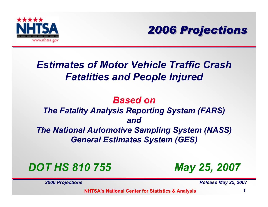



## *Estimates of Motor Vehicle Traffic CrashFatalities and People Injured*

#### *Based onThe Fatality Analysis Reporting System (FARS) andThe National Automotive Sampling System (NASS) General Estimates System (GES)*

### *DOT HS 810 755*

*2006 Projections Release May 25, 2007* 

*May 25, 2007*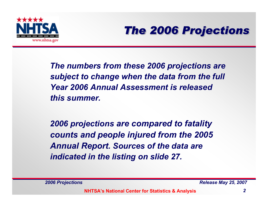



*The numbers from these 2006 projections are subject to change when the data from the full Year 2006 Annual Assessment is released this summer.*

*2006 projections are compared to fatality counts and people injured from the 2005 Annual Report. Sources of the data are indicated in the listing on slide 27.*

*2006 Projections Release May 25, 2007*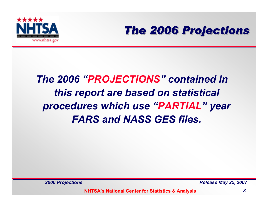



## *The 2006 "PROJECTIONS" contained in this report are based on statistical procedures which use "PARTIAL" year FARS and NASS GES files.*

*2006 Projections Release May 25, 2007*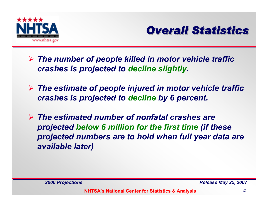



- ¾ *The number of people killed in motor vehicle traffic crashes is projected to decline slightly.*
- ¾ *The estimate of people injured in motor vehicle traffic crashes is projected to decline by 6 percent.*
- ¾ *The estimated number of nonfatal crashes are projected below 6 million for the first time (if these projected numbers are to hold when full year data are available later)*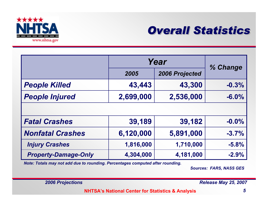



|                             | Year      | % Change       |          |
|-----------------------------|-----------|----------------|----------|
|                             | 2005      | 2006 Projected |          |
| <b>People Killed</b>        | 43,443    | 43,300         | $-0.3%$  |
| <b>People Injured</b>       | 2,699,000 | 2,536,000      | $-6.0\%$ |
|                             |           |                |          |
| <b>Fatal Crashes</b>        | 39,189    | 39,182         | $-0.0%$  |
| <b>Nonfatal Crashes</b>     | 6,120,000 | 5,891,000      | $-3.7%$  |
| <b>Injury Crashes</b>       | 1,816,000 | 1,710,000      | $-5.8%$  |
| <b>Property-Damage-Only</b> | 4,304,000 | 4,181,000      | $-2.9%$  |

*Note: Totals may not add due to rounding. Percentages computed after rounding.*

*Sources: FARS, NASS GES*

*2006 Projections Release May 25, 2007*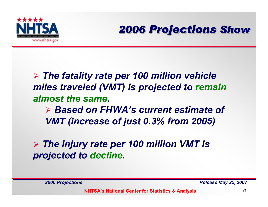



## ¾ *The fatality rate per 100 million vehicle miles traveled (VMT) is projected to remain almost the same.*

¾ *Based on FHWA's current estimate of VMT (increase of just 0.3% from 2005)*

#### ¾ *The injury rate per 100 million VMT is projected to decline.*

*2006 Projections Release May 25, 2007*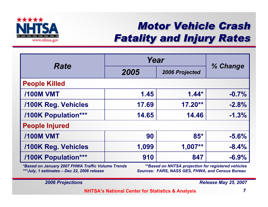

## *Motor Vehicle Crash Motor Vehicle Crash Motor Vehicle Crash Fatality and Injury Rates Fatality and Injury Rates Fatality and Injury Rates*

|                            | Year  |                |          |
|----------------------------|-------|----------------|----------|
| <b>Rate</b>                | 2005  | 2006 Projected | % Change |
| <b>People Killed</b>       |       |                |          |
| <b>/100M VMT</b>           | 1.45  | $1.44*$        | $-0.7%$  |
| <b>/100K Reg. Vehicles</b> | 17.69 | $17.20**$      | $-2.8%$  |
| /100K Population***        | 14.65 | 14.46          | $-1.3%$  |
| <b>People Injured</b>      |       |                |          |
| <b>/100M VMT</b>           | 90    | $85*$          | $-5.6%$  |
| <b>/100K Reg. Vehicles</b> | 1,099 | $1,007**$      | $-8.4%$  |
| /100K Population***        | 910   | 847            | $-6.9%$  |

*\*Based on January 2007 FHWA Traffic Volume Trends \*\*Based on NHTSA projection for registered vehicles \*\*\*July, 1 estimates – Dec 22, 2006 release Sources: FARS, NASS GES, FHWA, and Census Bureau*

*2006 Projections Release May 25, 2007*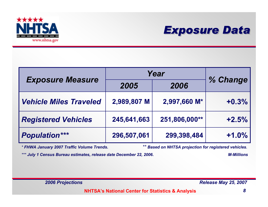



|                               | Year        |               |          |
|-------------------------------|-------------|---------------|----------|
| <b>Exposure Measure</b>       | 2005        | 2006          | % Change |
| <b>Vehicle Miles Traveled</b> | 2,989,807 M | 2,997,660 M*  | $+0.3%$  |
| <b>Registered Vehicles</b>    | 245,641,663 | 251,806,000** | $+2.5%$  |
| <b>Population***</b>          | 296,507,061 | 299,398,484   | $+1.0%$  |

*\* FHWA January 2007 Traffic Volume Trends. \*\* Based on NHTSA projection for registered vehicles.*

*\*\*\* July 1 Census Bureau estimates, release date December 22, 2006. M-Millions*

*2006 Projections Release May 25, 2007*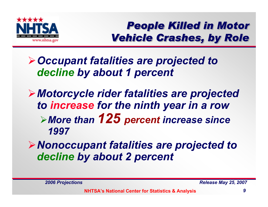

*People Killed in Motor People Killed in Motor People Killed in Motor Vehicle Crashes, by Role Vehicle Crashes, by Role Vehicle Crashes, by Role*

## ¾*Occupant fatalities are projected to decline by about 1 percent*

## ¾*Motorcycle rider fatalities are projected to increase for the ninth year in a row* <sup>¾</sup>*More than 125 percent increase since 1997*

## ¾*Nonoccupant fatalities are projected to decline by about 2 percent*

*2006 Projections Release May 25, 2007*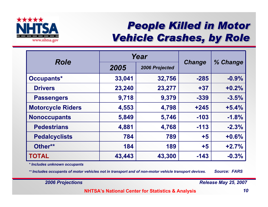

## *People Killed in Motor People Killed in Motor People Killed in Motor Vehicle Crashes, by Role Vehicle Crashes, by Role Vehicle Crashes, by Role*

|                          | Year   |                |               |         | % Change |
|--------------------------|--------|----------------|---------------|---------|----------|
| <b>Role</b>              | 2005   | 2006 Projected | <b>Change</b> |         |          |
| Occupants*               | 33,041 | 32,756         | $-285$        | $-0.9%$ |          |
| <b>Drivers</b>           | 23,240 | 23,277         | $+37$         | $+0.2%$ |          |
| <b>Passengers</b>        | 9,718  | 9,379          | $-339$        | $-3.5%$ |          |
| <b>Motorcycle Riders</b> | 4,553  | 4,798          | $+245$        | $+5.4%$ |          |
| <b>Nonoccupants</b>      | 5,849  | 5,746          | $-103$        | $-1.8%$ |          |
| <b>Pedestrians</b>       | 4,881  | 4,768          | $-113$        | $-2.3%$ |          |
| <b>Pedalcyclists</b>     | 784    | 789            | $+5$          | $+0.6%$ |          |
| Other**                  | 184    | 189            | $+5$          | $+2.7%$ |          |
| <b>TOTAL</b>             | 43,443 | 43,300         | $-143$        | $-0.3%$ |          |

*\* Includes unknown occupants*

*\*\* Includes occupants of motor vehicles not in transport and of non-motor vehicle transport devices. Source: FARS*

*2006 Projections Release May 25, 2007*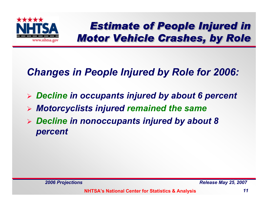

*Estimate of People Injured in Motor Vehicle Crashes, by Role Motor Vehicle Crashes, by Role Motor Vehicle Crashes, by Role*

## *Changes in People Injured by Role for 2006:*

- ¾ *Decline in occupants injured by about 6 percent*
- ¾ *Motorcyclists injured remained the same*
- ¾ *Decline in nonoccupants injured by about 8 percent*

*2006 Projections Release May 25, 2007*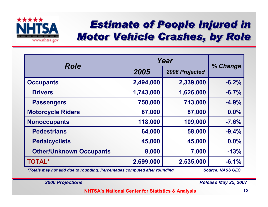

## *Estimate of People Injured in Motor Vehicle Crashes, by Role Motor Vehicle Crashes, by Role Motor Vehicle Crashes, by Role*

| <b>Role</b>                    | Year      |                |          |
|--------------------------------|-----------|----------------|----------|
|                                | 2005      | 2006 Projected | % Change |
| <b>Occupants</b>               | 2,494,000 | 2,339,000      | $-6.2%$  |
| <b>Drivers</b>                 | 1,743,000 | 1,626,000      | $-6.7%$  |
| <b>Passengers</b>              | 750,000   | 713,000        | $-4.9%$  |
| <b>Motorcycle Riders</b>       | 87,000    | 87,000         | $0.0\%$  |
| <b>Nonoccupants</b>            | 118,000   | 109,000        | $-7.6%$  |
| <b>Pedestrians</b>             | 64,000    | 58,000         | $-9.4%$  |
| <b>Pedalcyclists</b>           | 45,000    | 45,000         | 0.0%     |
| <b>Other/Unknown Occupants</b> | 8,000     | 7,000          | $-13%$   |
| <b>TOTAL*</b>                  | 2,699,000 | 2,535,000      | $-6.1%$  |

*\*Totals may not add due to rounding. Percentages computed after rounding. Source: NASS GES*

*2006 Projections Release May 25, 2007*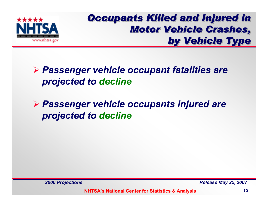

#### *Occupants Killed and Injured in Motor Vehicle Crashes, Motor Vehicle Crashes, Motor Vehicle Crashes, by Vehicle Type by Vehicle Type by Vehicle Type*

#### ¾ *Passenger vehicle occupant fatalities are projected to decline*

#### ¾ *Passenger vehicle occupants injured are projected to decline*

*2006 Projections Release May 25, 2007*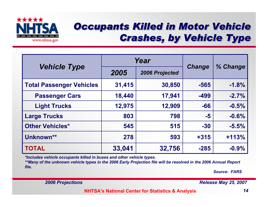

### *Occupants Killed in Motor Vehicle Crashes, by Vehicle Type Crashes, by Vehicle Type Crashes, by Vehicle Type*

|                                 |        | Year           | <b>Change</b> |          |
|---------------------------------|--------|----------------|---------------|----------|
| <b>Vehicle Type</b>             | 2005   | 2006 Projected |               | % Change |
| <b>Total Passenger Vehicles</b> | 31,415 | 30,850         | $-565$        | $-1.8%$  |
| <b>Passenger Cars</b>           | 18,440 | 17,941         | $-499$        | $-2.7%$  |
| <b>Light Trucks</b>             | 12,975 | 12,909         | $-66$         | $-0.5%$  |
| <b>Large Trucks</b>             | 803    | 798            | $-5$          | $-0.6%$  |
| <b>Other Vehicles*</b>          | 545    | 515            | $-30$         | $-5.5%$  |
| Unknown**                       | 278    | 593            | $+315$        | $+113%$  |
| <b>TOTAL</b>                    | 33,041 | 32,756         | $-285$        | $-0.9%$  |

*\*Includes vehicle occupants killed in buses and other vehicle types.*

*\*\*Many of the unknown vehicle types in the 2006 Early Projection file will be resolved in the 2006 Annual Report file.*

*Source: FARS*

*2006 Projections Release May 25, 2007*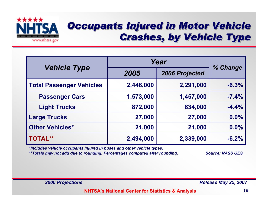

#### *Occupants Injured in Motor Vehicle Crashes, by Vehicle Type Crashes, by Vehicle Type Crashes, by Vehicle Type*

|                          | Year      |                |          |
|--------------------------|-----------|----------------|----------|
| <b>Vehicle Type</b>      | 2005      | 2006 Projected | % Change |
| Total Passenger Vehicles | 2,446,000 | 2,291,000      | $-6.3%$  |
| <b>Passenger Cars</b>    | 1,573,000 | 1,457,000      | $-7.4%$  |
| <b>Light Trucks</b>      | 872,000   | 834,000        | $-4.4%$  |
| <b>Large Trucks</b>      | 27,000    | 27,000         | 0.0%     |
| <b>Other Vehicles*</b>   | 21,000    | 21,000         | 0.0%     |
| <b>TOTAL**</b>           | 2,494,000 | 2,339,000      | $-6.2%$  |

*\*Includes vehicle occupants injured in buses and other vehicle types.*

*\*\*Totals may not add due to rounding. Percentages computed after rounding. Source: NASS GES*

*2006 Projections Release May 25, 2007*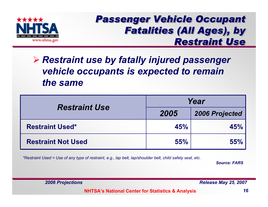

#### *Passenger Vehicle Occupant Passenger Vehicle Occupant Passenger Vehicle Occupant Fatalities (All Ages), by Restraint UseRestraint Use Restraint Use*

#### ¾ *Restraint use by fatally injured passenger vehicle occupants is expected to remain the same*

| <b>Restraint Use</b>      | Year |                       |  |
|---------------------------|------|-----------------------|--|
|                           | 2005 | <b>2006 Projected</b> |  |
| <b>Restraint Used*</b>    | 45%  | 45%                   |  |
| <b>Restraint Not Used</b> | 55%  | 55%                   |  |

*\*Restraint Used = Use of any type of restraint, e.g., lap belt, lap/shoulder belt, child safety seat, etc.*

*Source: FARS*

*2006 Projections Release May 25, 2007*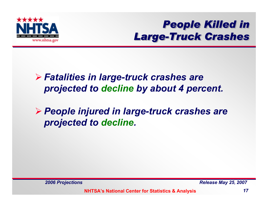

*People Killed in People Killed in People Killed in Large-Truck Crashes Large-Truck Crashes Truck Crashes*

#### ¾ *Fatalities in large-truck crashes are projected to decline by about 4 percent.*

¾ *People injured in large-truck crashes are projected to decline.*

*2006 Projections Release May 25, 2007*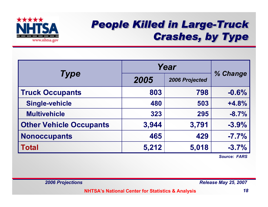

## *People Killed in Large-Truck People Killed in Large People Killed in Large-Truck Crashes, by Type Crashes, by Type Crashes, by Type*

|                                | Year  |                |          |
|--------------------------------|-------|----------------|----------|
| <b>Type</b>                    | 2005  | 2006 Projected | % Change |
| <b>Truck Occupants</b>         | 803   | 798            | $-0.6%$  |
| <b>Single-vehicle</b>          | 480   | 503            | $+4.8%$  |
| <b>Multivehicle</b>            | 323   | 295            | $-8.7%$  |
| <b>Other Vehicle Occupants</b> | 3,944 | 3,791          | $-3.9%$  |
| <b>Nonoccupants</b>            | 465   | 429            | $-7.7%$  |
| <b>Total</b>                   | 5,212 | 5,018          | $-3.7%$  |

*Source: FARS*

*2006 Projections Release May 25, 2007*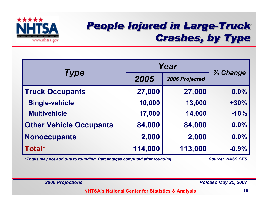

## *People Injured in Large-Truck People Injured in Large People Injured in Large-Truck Crashes, by Type Crashes, by Type Crashes, by Type*

|                                |         | Year           |          |  |
|--------------------------------|---------|----------------|----------|--|
| <b>Type</b>                    | 2005    | 2006 Projected | % Change |  |
| <b>Truck Occupants</b>         | 27,000  | 27,000         | $0.0\%$  |  |
| <b>Single-vehicle</b>          | 10,000  | 13,000         | $+30%$   |  |
| <b>Multivehicle</b>            | 17,000  | 14,000         | $-18%$   |  |
| <b>Other Vehicle Occupants</b> | 84,000  | 84,000         | 0.0%     |  |
| <b>Nonoccupants</b>            | 2,000   | 2,000          | 0.0%     |  |
| Total*                         | 114,000 | 113,000        | $-0.9%$  |  |

*\*Totals may not add due to rounding. Percentages computed after rounding. Source: NASS GES*

*2006 Projections Release May 25, 2007*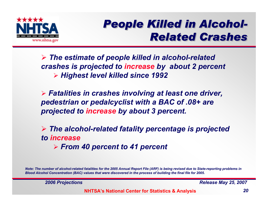

## *People Killed in Alcohol- People Killed in Alcohol People Killed in Alcohol- Related Crashes Related Crashes Related Crashes*

¾ *The estimate of people killed in alcohol-related crashes is projected to increase by about 2 percent* ¾ *Highest level killed since 1992*

¾ *Fatalities in crashes involving at least one driver, pedestrian or pedalcyclist with a BAC of .08+ are projected to increase by about 3 percent.*

¾ *The alcohol-related fatality percentage is projected to increase*¾ *From 40 percent to 41 percent*

*Note: The number of alcohol-related fatalities for the 2005 Annual Report File (ARF) is being revised due to State-reporting problems in Blood Alcohol Concentration (BAC) values that were discovered in the process of building the final file for 2005.*

*2006 Projections Release May 25, 2007*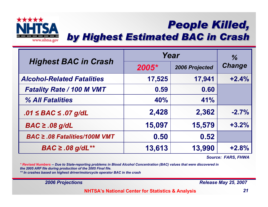

## *People Killed, by Highest Estimated BAC in Crash People Killed, People Killed,by Highest Estimated BAC in Crash by Highest Estimated BAC in Crash*

|                                    | Year   | $\frac{0}{6}$  |               |
|------------------------------------|--------|----------------|---------------|
| <b>Highest BAC in Crash</b>        | 2005*  | 2006 Projected | <b>Change</b> |
| <b>Alcohol-Related Fatalities</b>  | 17,525 | 17,941         | $+2.4%$       |
| <b>Fatality Rate / 100 M VMT</b>   | 0.59   | 0.60           |               |
| % All Fatalities                   | 40%    | 41%            |               |
| $.01 \leq BAC \leq .07$ g/dL       | 2,428  | 2,362          | $-2.7%$       |
| $BAC \ge .08$ g/dL                 | 15,097 | 15,579         | $+3.2%$       |
| $BAC \geq .08$ Fatalities/100M VMT | 0.50   | 0.52           |               |
| $BAC \ge .08$ g/dL**               | 13,613 | 13,990         | $+2.8%$       |

*Source: FARS, FHWA*

*\* Revised Numbers -- Due to State-reporting problems in Blood Alcohol Concentration (BAC) values that were discovered in the 2005 ARF file during production of the 2005 Final file.* 

*\*\* In crashes based on highest driver/motorcycle operator BAC in the crash*

*2006 Projections Release May 25, 2007*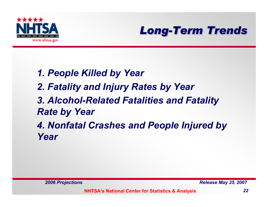



- *1. People Killed by Year*
- *2. Fatality and Injury Rates by Year*
- *3. Alcohol-Related Fatalities and Fatality Rate by Year*

*4. Nonfatal Crashes and People Injured by Year*

*2006 Projections Release May 25, 2007*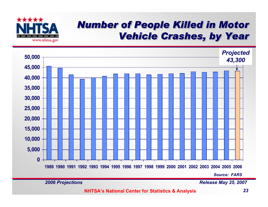

#### *Number of People Killed in Motor Number of People Killed in Motor Number of People Killed in Motor Vehicle Crashes, by Year*



*2006 Projections Release May 25, 2007*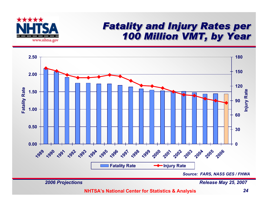

#### *Fatality and Injury Rates per Fatality and Injury Rates per Fatality and Injury Rates per 100 Million VMT, by Year 100 Million VMT, by Year 100 Million VMT, by Year*

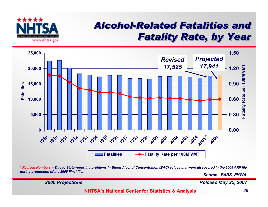

### *Alcohol-Related Fatalities and Alcohol Alcohol-Related Fatalities and Related Fatalities and Fatality Rate, by Year Fatality Rate, by Year Fatality Rate, by Year*



*\* Revised Numbers -- Due to State-reporting problems in Blood Alcohol Concentration (BAC) values that were discovered in the 2005 ARF file during production of the 2005 Final file.*

*Source: FARS, FHWA*

*2006 Projections Release May 25, 2007*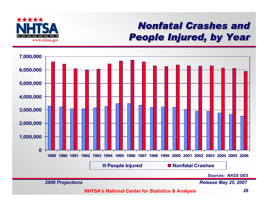

### *Nonfatal Crashes and Nonfatal Crashes and Nonfatal Crashes and People Injured, by Year People Injured, by Year People Injured, by Year*

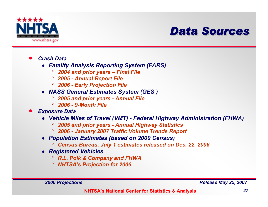

### *Data Sources Data Sources Data Sources*

- $\bullet$  *Crash Data*
	- ♦ *Fatality Analysis Reporting System (FARS)* 
		- $\circ$ *2004 and prior years – Final File*
		- ° *2005 - Annual Report File*
		- ° *2006 - Early Projection File*
	- ♦ *NASS General Estimates System (GES )*
		- °*2005 and prior years - Annual File*
		- ° *2006 - 9-Month File*
- $\bullet$  *Exposure Data* 
	- ♦ *Vehicle Miles of Travel (VMT) - Federal Highway Administration (FHWA)*
		- $\circ$ *2005 and prior years - Annual Highway Statistics*
		- ° *2006 - January 2007 Traffic Volume Trends Report*
	- ♦ *Population Estimates (based on 2000 Census)* 
		- $\circ$ *Census Bureau, July 1 estimates released on Dec. 22, 2006*
	- ♦ *Registered Vehicles*
		- ° *R.L. Polk & Company and FHWA*
		- ° *NHTSA's Projection for 2006*

*2006 Projections Release May 25, 2007*